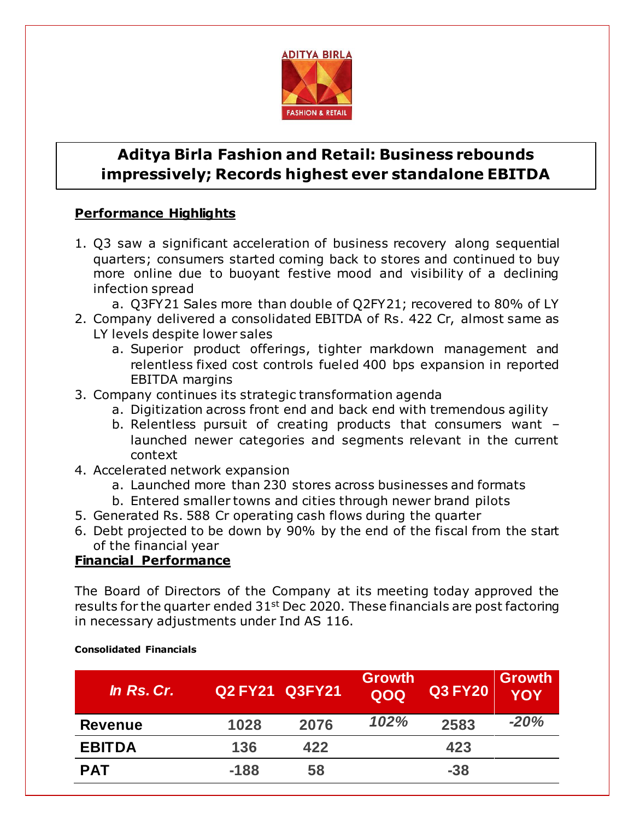

# **Aditya Birla Fashion and Retail: Business rebounds impressively; Records highest ever standalone EBITDA**

## **Performance Highlights**

- 1. Q3 saw a significant acceleration of business recovery along sequential quarters; consumers started coming back to stores and continued to buy more online due to buoyant festive mood and visibility of a declining infection spread
	- a. Q3FY21 Sales more than double of Q2FY21; recovered to 80% of LY
- 2. Company delivered a consolidated EBITDA of Rs. 422 Cr, almost same as LY levels despite lower sales
	- a. Superior product offerings, tighter markdown management and relentless fixed cost controls fueled 400 bps expansion in reported EBITDA margins
- 3. Company continues its strategic transformation agenda
	- a. Digitization across front end and back end with tremendous agility
	- b. Relentless pursuit of creating products that consumers want launched newer categories and segments relevant in the current context
- 4. Accelerated network expansion
	- a. Launched more than 230 stores across businesses and formats
	- b. Entered smaller towns and cities through newer brand pilots
- 5. Generated Rs. 588 Cr operating cash flows during the quarter
- 6. Debt projected to be down by 90% by the end of the fiscal from the start of the financial year

### **Financial Performance**

The Board of Directors of the Company at its meeting today approved the results for the quarter ended  $31<sup>st</sup>$  Dec 2020. These financials are post factoring in necessary adjustments under Ind AS 116.

| In Rs. Cr.     | <b>Q2 FY21 Q3FY21</b> |      | <b>Growth</b><br>QOQ | <b>Q3 FY20</b> | <b>Growth</b><br><b>YOY</b> |
|----------------|-----------------------|------|----------------------|----------------|-----------------------------|
| <b>Revenue</b> | 1028                  | 2076 | 102%                 | 2583           | $-20%$                      |
| <b>EBITDA</b>  | 136                   | 422  |                      | 423            |                             |
| <b>PAT</b>     | $-188$                | 58   |                      | $-38$          |                             |

#### **Consolidated Financials**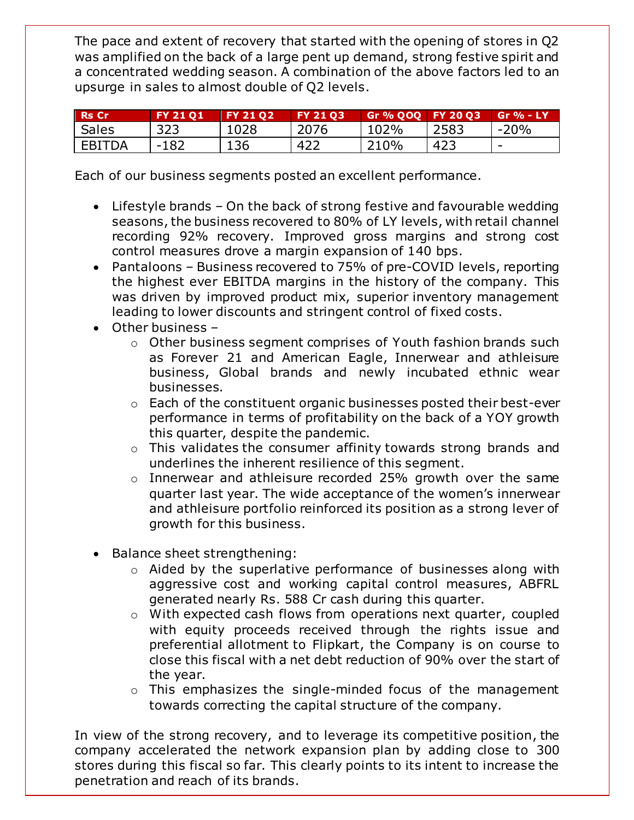The pace and extent of recovery that started with the opening of stores in Q2 was amplified on the back of a large pent up demand, strong festive spirit and a concentrated wedding season. A combination of the above factors led to an upsurge in sales to almost double of Q2 levels.

| l Rs Cr      | <b>FY 21 01</b> | <b>FY 21 02</b> | <b>FY 21 03</b> | Gr % QOQ FY 20 Q3 |      | $Gr$ % - LY              |
|--------------|-----------------|-----------------|-----------------|-------------------|------|--------------------------|
| <b>Sales</b> | 323             | 1028            | 2076            | 102%              | 2583 | $-20%$                   |
| EBITDA       | $-182$          | 136             | 422             | 210%              | 423  | $\overline{\phantom{0}}$ |

Each of our business segments posted an excellent performance.

- Lifestyle brands On the back of strong festive and favourable wedding seasons, the business recovered to 80% of LY levels, with retail channel recording 92% recovery. Improved gross margins and strong cost control measures drove a margin expansion of 140 bps.
- Pantaloons Business recovered to 75% of pre-COVID levels, reporting the highest ever EBITDA margins in the history of the company. This was driven by improved product mix, superior inventory management leading to lower discounts and stringent control of fixed costs.
- Other business
	- o Other business segment comprises of Youth fashion brands such as Forever 21 and American Eagle, Innerwear and athleisure business, Global brands and newly incubated ethnic wear businesses.
	- o Each of the constituent organic businesses posted their best-ever performance in terms of profitability on the back of a YOY growth this quarter, despite the pandemic.
	- o This validates the consumer affinity towards strong brands and underlines the inherent resilience of this segment.
	- o Innerwear and athleisure recorded 25% growth over the same quarter last year. The wide acceptance of the women's innerwear and athleisure portfolio reinforced its position as a strong lever of growth for this business.
- Balance sheet strengthening:
	- o Aided by the superlative performance of businesses along with aggressive cost and working capital control measures, ABFRL generated nearly Rs. 588 Cr cash during this quarter.
	- o With expected cash flows from operations next quarter, coupled with equity proceeds received through the rights issue and preferential allotment to Flipkart, the Company is on course to close this fiscal with a net debt reduction of 90% over the start of the year.
	- o This emphasizes the single-minded focus of the management towards correcting the capital structure of the company.

In view of the strong recovery, and to leverage its competitive position, the company accelerated the network expansion plan by adding close to 300 stores during this fiscal so far. This clearly points to its intent to increase the penetration and reach of its brands.